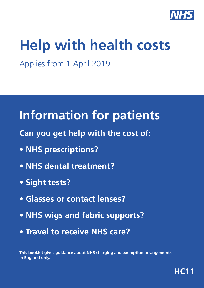

# **Help with health costs**

Applies from 1 April 2019

## **Information for patients**

- **Can you get help with the cost of:**
- **NHS prescriptions?**
- **NHS dental treatment?**
- **Sight tests?**
- **Glasses or contact lenses?**
- **NHS wigs and fabric supports?**
- **Travel to receive NHS care?**

**This booklet gives guidance about NHS charging and exemption arrangements in England only.**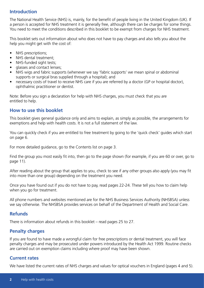## **Introduction**

The National Health Service (NHS) is, mainly, for the benefit of people living in the United Kingdom (UK). If a person is accepted for NHS treatment it is generally free, although there can be charges for some things. You need to meet the conditions described in this booklet to be exempt from charges for NHS treatment.

This booklet sets out information about who does not have to pay charges and also tells you about the help you might get with the cost of:

- NHS prescriptions;
- NHS dental treatment;
- NHS-funded sight tests;
- glasses and contact lenses;
- NHS wigs and fabric supports (whenever we say 'fabric supports' we mean spinal or abdominal supports or surgical bras supplied through a hospital); and
- necessary costs of travel to receive NHS care if you are referred by a doctor (GP or hospital doctor), ophthalmic practitioner or dentist.

Note: Before you sign a declaration for help with NHS charges, you must check that you are entitled to help.

## **How to use this booklet**

This booklet gives general guidance only and aims to explain, as simply as possible, the arrangements for exemptions and help with health costs. It is not a full statement of the law.

You can quickly check if you are entitled to free treatment by going to the 'quick check' guides which start on page 6.

For more detailed guidance, go to the Contents list on page 3.

Find the group you most easily fit into, then go to the page shown (for example, if you are 60 or over, go to page 11).

After reading about the group that applies to you, check to see if any other groups also apply (you may fit into more than one group) depending on the treatment you need.

Once you have found out if you do not have to pay, read pages 22-24. These tell you how to claim help when you go for treatment.

All phone numbers and websites mentioned are for the NHS Business Services Authority (NHSBSA) unless we say otherwise. The NHSBSA provides services on behalf of the Department of Health and Social Care.

#### **Refunds**

There is information about refunds in this booklet – read pages 25 to 27.

## **Penalty charges**

If you are found to have made a wrongful claim for free prescriptions or dental treatment, you will face penalty charges and may be prosecuted under powers introduced by the Health Act 1999. Routine checks are carried out on exemption claims including where proof may have been shown.

#### **Current rates**

We have listed the current rates of NHS charges and values for optical vouchers in England (pages 4 and 5).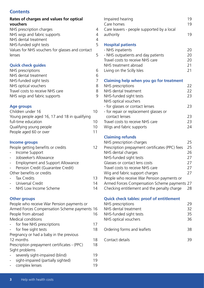## **Contents**

#### **Rates of charges and values for optical vouchers**

| NHS prescription charges                        | Δ |
|-------------------------------------------------|---|
| NHS wigs and fabric supports                    | 4 |
| NHS dental treatment                            | 4 |
| NHS-funded sight tests                          | 5 |
| Values for NHS vouchers for glasses and contact |   |
| lenses                                          | 5 |

## **Quick check guides**

| NHS prescriptions                | 6 |
|----------------------------------|---|
| NHS dental treatment             | 6 |
| NHS-funded sight tests           | 7 |
| NHS optical vouchers             | 8 |
| Travel costs to receive NHS care | 8 |
| NHS wigs and fabric supports     | 9 |
|                                  |   |

## **Age groups**

| Children under 16                             | 10 |
|-----------------------------------------------|----|
| Young people aged 16, 17 and 18 in qualifying |    |
| full-time education                           | 10 |
| Qualifying young people                       | 10 |
| People aged 60 or over                        | 11 |
|                                               |    |

## **Income groups**

| People getting benefits or credits |  |
|------------------------------------|--|
|------------------------------------|--|

- Income Support
- Jobseeker's Allowance
- Employment and Support Allowance - Pension Credit (Guarantee Credit)
- Other benefits or credits
- Tax Credits 13
- Universal Credit 14
- NHS Low Income Scheme 14

## **Other groups**

| People who receive War Pension payments or   |    |
|----------------------------------------------|----|
| Armed Forces Compensation Scheme payments 16 |    |
| People from abroad                           | 16 |
| <b>Medical conditions</b>                    |    |
| for free NHS prescriptions                   | 17 |
| for free sight tests                         | 18 |
| Pregnancy or had a baby in the previous      |    |
| 12 months                                    | 18 |
| Prescription prepayment certificates - (PPC) | 18 |
| Sight problems                               |    |
| severely sight-impaired (blind)              | 19 |
| sight-impaired (partially sighted)           | 19 |
| complex lenses                               | 19 |
|                                              |    |

| Impaired hearing                           | 19  |
|--------------------------------------------|-----|
| Care homes                                 | 19  |
| Care leavers - people supported by a local |     |
| authority                                  | 19. |
|                                            |     |

## **Hospital patients**

| 20  |
|-----|
| 20  |
| 20  |
| -21 |
| -21 |
|     |

**Claiming help when you go for treatment**

| NHS prescriptions                      | 22 |
|----------------------------------------|----|
| NHS dental treatment                   | 22 |
| NHS-funded sight tests                 | 23 |
| NHS optical vouchers                   |    |
| - for glasses or contact lenses        | 23 |
| - for repair or replacement glasses or |    |
| contact lenses                         | 23 |
| Travel costs to receive NHS care       | 23 |
| Wigs and fabric supports               | 24 |
|                                        |    |

#### **Claiming refunds**

| NHS prescription charges                        | 25 |
|-------------------------------------------------|----|
| Prescription prepayment certificates (PPC) fees | 25 |
| NHS dental charges                              | 26 |
| NHS-funded sight tests                          | 27 |
| Glasses or contact lens costs                   | 27 |
| Travel costs to receive NHS care                | 27 |
| Wig and fabric support charges                  | 27 |
| People who receive War Pension payments or      |    |
| Armed Forces Compensation Scheme payments 27    |    |
| Checking entitlement and the penalty charge     | 28 |

| <b>Quick check tables: proof of entitlement</b><br>NHS prescriptions<br>NHS dental treatment<br>NHS-funded sight tests<br>NHS optical vouchers | 29<br>32<br>35<br>36 |
|------------------------------------------------------------------------------------------------------------------------------------------------|----------------------|
| Ordering forms and leaflets                                                                                                                    | 38                   |
| Contact details                                                                                                                                | 39                   |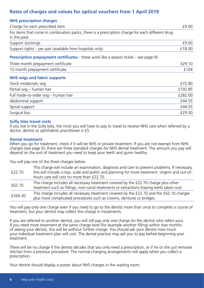## **Rates of charges and values for optical vouchers from 1 April 2019**

| <b>NHS prescription charges</b>                                                                                 |         |
|-----------------------------------------------------------------------------------------------------------------|---------|
| Charge for each prescribed item                                                                                 | £9.00   |
| For items that come in combination packs, there is a prescription charge for each different drug<br>in the pack |         |
| Support stockings                                                                                               | £9.00   |
| Support tights - per pair (available from hospitals only)                                                       | £18.00  |
| <b>Prescription prepayment certificates</b> - these work like a season ticket $-$ see page 18.                  |         |
| Three-month prepayment certificate                                                                              | £29.10  |
| 12-month prepayment certificate                                                                                 | £104    |
| <b>NHS wigs and fabric supports</b>                                                                             |         |
| Stock modacrylic wig                                                                                            | £72.80  |
| Partial wig - human hair                                                                                        | £192.85 |
| Full made-to-order wig - human hair                                                                             | £282.00 |
| Abdominal support                                                                                               | £44.55  |
| Spinal support                                                                                                  | £44.55  |
| Surgical bra                                                                                                    | £29.50  |

#### **Scilly Isles travel costs**

If you live in the Scilly Isles, the most you will have to pay to travel to receive NHS care when referred by a doctor, dentist or ophthalmic practitioner is £5.

#### **Dental treatment**

When you go for treatment, check if it will be NHS or private treatment. If you are not exempt from NHS charges (see page 6), there are three standard charges for NHS dental treatment. The amount you pay will depend on the sort of treatment you need to keep your teeth and gums healthy.

You will pay one of the three charges below.

| £22.70  | This charge will include an examination, diagnosis and care to prevent problems. If necessary,<br>this will include x-rays, scale and polish and planning for more treatment. Urgent and out-of-<br>hours care will cost no more than £22.70. |
|---------|-----------------------------------------------------------------------------------------------------------------------------------------------------------------------------------------------------------------------------------------------|
| £62.10  | This charge includes all necessary treatment covered by the £22.70 charge plus other<br>treatment such as fillings, root-canal treatments or extractions (having teeth taken out)                                                             |
| £269.30 | This charge includes all necessary treatment covered by the £22.70 and the £62.10 charges<br>plus more complicated procedures such as crowns, dentures or bridges.                                                                            |

You will pay only one charge even if you need to go to the dentist more than once to complete a course of treatment, but your dentist may collect this charge in instalments.

If you are referred to another dentist, you will still pay only one charge (to the dentist who refers you). If you need more treatment at the same charge level (for example another filling) within two months of seeing your dentist, this will be without further charge. You should ask your dentist how much your individual treatment plan will cost. The dental practice may ask you to pay before beginning your treatment.

There will be no charge if the dentist decides that you only need a prescription, or if he or she just removes stitches from a previous procedure. The normal charging arrangements will apply when you collect a prescription.

Your dentist should display a poster about NHS charges in the waiting room.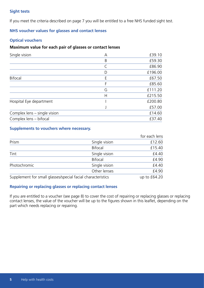#### **Sight tests**

If you meet the criteria described on page 7 you will be entitled to a free NHS funded sight test.

#### **NHS voucher values for glasses and contact lenses**

#### **Optical vouchers**

#### **Maximum value for each pair of glasses or contact lenses**

| £59.30<br>£86.90 |
|------------------|
|                  |
|                  |
| £196.00          |
| £67.50           |
| £85.60           |
| £111.20          |
| £215.50          |
| £200.80          |
| £57.00           |
| £14.60           |
| £37.40           |
|                  |

#### **Supplements to vouchers where necessary.**

|                                                             |                | for each lens |
|-------------------------------------------------------------|----------------|---------------|
| Prism                                                       | Single vision  | £12.60        |
|                                                             | <b>Bifocal</b> | £15.40        |
| Tint                                                        | Single vision  | £4.40         |
|                                                             | <b>Bifocal</b> | £4.90         |
| Photochromic                                                | Single vision  | £4.40         |
|                                                             | Other lenses   | £4.90         |
| Supplement for small glasses/special facial characteristics |                | up to £64.20  |

#### **Repairing or replacing glasses or replacing contact lenses**

If you are entitled to a voucher (see page 8) to cover the cost of repairing or replacing glasses or replacing contact lenses, the value of the voucher will be up to the figures shown in this leaflet, depending on the part which needs replacing or repairing.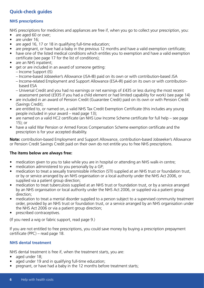## **Quick-check guides**

#### **NHS prescriptions**

NHS prescriptions for medicines and appliances are free if, when you go to collect your prescription, you:

- are aged 60 or over;
- are under 16:
- are aged 16, 17 or 18 in qualifying full-time education;
- are pregnant, or have had a baby in the previous 12 months and have a valid exemption certificate;
- have one of the listed medical conditions which entitles you to exemption and have a valid exemption certificate (see page 17 for the list of conditions);
- are an NHS inpatient;
- get or are included in an award of someone getting:
	- Income Support (IS)
	- Income-based Jobseeker's Allowance (JSA-IB) paid on its own or with contribution-based JSA
	- Income-related Employment and Support Allowance (ESA-IR) paid on its own or with contribution based ESA
	- Universal Credit and you had no earnings or net earnings of £435 or less during the most recent assessment period (£935 if you had a child element or had limited capability for work) (see page 14)
- are included in an award of Pension Credit (Guarantee Credit) paid on its own or with Pension Credit (Savings Credit);
- are entitled to, or named on, a valid NHS Tax Credit Exemption Certificate (this includes any young people included in your award – read page 13);
- are named on a valid HC2 certificate (an NHS Low Income Scheme certificate for full help see page 15); or
- have a valid War Pension or Armed Forces Compensation Scheme exemption certificate and the prescription is for your accepted disability.

**Note:** contribution-based Employment and Support Allowance, contribution-based Jobseeker's Allowance or Pension Credit Savings Credit paid on their own do not entitle you to free NHS prescriptions.

#### **The items below are always free:**

- medication given to you to take while you are in hospital or attending an NHS walk-in centre;
- medication administered to you personally by a GP;
- medication to treat a sexually transmissible infection (STI) supplied at an NHS trust or foundation trust, or by or service arranged by an NHS organisation or a local authority under the NHS Act 2006, or supplied via a patient group direction;
- medication to treat tuberculosis supplied at an NHS trust or foundation trust, or by a service arranged by an NHS organisation or local authority under the NHS Act 2006, or supplied via a patient group direction;
- medication to treat a mental disorder supplied to a person subject to a supervised community treatment order, provided by an NHS trust or foundation trust, or a service arranged by an NHS organisation under the NHS Act 2006 or via a patient group direction;
- prescribed contraceptives.

(If you need a wig or fabric support, read page 9.)

If you are not entitled to free prescriptions, you could save money by buying a prescription prepayment certificate (PPC) – read page 18.

#### **NHS dental treatment**

NHS dental treatment is free if, when the treatment starts, you are:

- aged under 18:
- aged under 19 and in qualifying full-time education;
- pregnant, or have had a baby in the 12 months before treatment starts;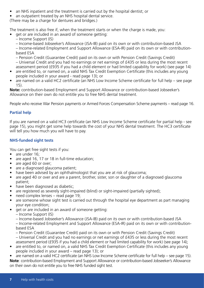- an NHS inpatient and the treatment is carried out by the hospital dentist; or
- an outpatient treated by an NHS hospital dental service.

(There may be a charge for dentures and bridges.)

The treatment is also free if, when the treatment starts or when the charge is made, you:

- get or are included in an award of someone getting:
- Income Support (IS)

– Income-based Jobseeker's Allowance (JSA-IB) paid on its own or with contribution-based JSA – Income-related Employment and Support Allowance (ESA-IR) paid on its own or with contributionbased ESA

– Pension Credit (Guarantee Credit) paid on its own or with Pension Credit (Savings Credit)

– Universal Credit and you had no earnings or net earnings of £435 or less during the most recent assessment period (£935 if you had a child element or had limited capability for work) (see page 14)

- are entitled to, or named on, a valid NHS Tax Credit Exemption Certificate (this includes any young people included in your award - read page 13); or
- are named on a valid HC2 certificate (an NHS Low Income Scheme certificate for full help see page 15).

**Note:** contribution-based Employment and Support Allowance or contribution-based Jobseeker's Allowance on their own do not entitle you to free NHS dental treatment.

People who receive War Pension payments or Armed Forces Compensation Scheme payments – read page 16.

## **Partial help**

If you are named on a valid HC3 certificate (an NHS Low Income Scheme certificate for partial help - see page 15), you might get some help towards the cost of your NHS dental treatment. The HC3 certificate will tell you how much you will have to pay.

## **NHS-funded sight tests**

You can get free sight tests if you:

- are under 16;
- are aged 16, 17 or 18 in full-time education;
- are aged 60 or over;
- are a diagnosed glaucoma patient;
- have been advised by an ophthalmologist that you are at risk of glaucoma;
- are aged 40 or over and are a parent, brother, sister, son or daughter of a diagnosed glaucoma patient;
- have been diagnosed as diabetic;
- are registered as severely sight-impaired (blind) or sight-impaired (partially sighted);
- need complex lenses read page 19;
- are someone whose sight test is carried out through the hospital eye department as part managing your eye condition;
- get or are included in an award of someone getting:
	- Income Support (IS)
	- Income-based Jobseeker's Allowance (JSA-IB) paid on its own or with contribution-based JSA

– Income-related Employment and Support Allowance (ESA-IR) paid on its own or with contributionbased ESA

– Pension Credit (Guarantee Credit) paid on its own or with Pension Credit (Savings Credit)

- Universal Credit and you had no earnings or net earnings of £435 or less during the most recent assessment period (£935 if you had a child element or had limited capability for work) (see page 14);
- are entitled to, or named on, a valid NHS Tax Credit Exemption Certificate (this includes any young people included in your award – read page 13); or
- are named on a valid HC2 certificate (an NHS Low Income Scheme certificate for full help see page 15). **Note**: contribution-based Employment and Support Allowance or contribution-based Jobseeker's Allowance on their own do not entitle you to free NHS funded sight test.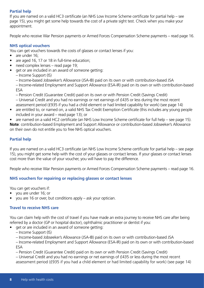#### **Partial help**

If you are named on a valid HC3 certificate (an NHS Low Income Scheme certificate for partial help – see page 15), you might get some help towards the cost of a private sight test. Check when you make your appointment.

People who receive War Pension payments or Armed Forces Compensation Scheme payments – read page 16.

#### **NHS optical vouchers**

You can get vouchers towards the costs of glasses or contact lenses if you:

- are under 16:
- are aged 16, 17 or 18 in full-time education;
- need complex lenses read page 19;
- get or are included in an award of someone getting:
	- Income Support (IS)
		- Income-based Jobseeker's Allowance (JSA-IB) paid on its own or with contribution-based JSA

– Income-related Employment and Support Allowance (ESA-IR) paid on its own or with contribution-based ESA

- Pension Credit (Guarantee Credit) paid on its own or with Pension Credit (Savings Credit)
- Universal Credit and you had no earnings or net earnings of £435 or less during the most recent assessment period (£935 if you had a child element or had limited capability for work) (see page 14)
- are entitled to, or named on, a valid NHS Tax Credit Exemption Certificate (this includes any young people included in your award – read page 13); or
- are named on a valid HC2 certificate (an NHS Low Income Scheme certificate for full help see page 15).

**Note**: contribution-based Employment and Support Allowance or contribution-based Jobseeker's Allowance on their own do not entitle you to free NHS optical vouchers.

#### **Partial help**

If you are named on a valid HC3 certificate (an NHS Low Income Scheme certificate for partial help – see page 15), you might get some help with the cost of your glasses or contact lenses. If your glasses or contact lenses cost more than the value of your voucher, you will have to pay the difference.

People who receive War Pension payments or Armed Forces Compensation Scheme payments – read page 16.

#### **NHS vouchers for repairing or replacing glasses or contact lenses**

You can get vouchers if:

- you are under 16; or
- you are 16 or over, but conditions apply ask your optician.

#### **Travel to receive NHS care**

You can claim help with the cost of travel if you have made an extra journey to receive NHS care after being referred by a doctor (GP or hospital doctor), ophthalmic practitioner or dentist if you:

• get or are included in an award of someone getting:

- Income Support (IS)
- Income-based Jobseeker's Allowance (JSA-IB) paid on its own or with contribution-based JSA

– Income-related Employment and Support Allowance (ESA-IR) paid on its own or with contribution-based ESA

– Pension Credit (Guarantee Credit) paid on its own or with Pension Credit (Savings Credit)

– Universal Credit and you had no earnings or net earnings of £435 or less during the most recent assessment period (£935 if you had a child element or had limited capability for work) (see page 14)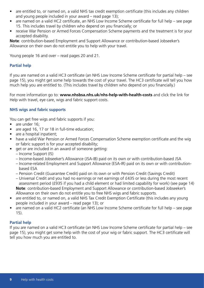- are entitled to, or named on, a valid NHS tax credit exemption certificate (this includes any children and young people included in your award – read page 13);
- are named on a valid HC2 certificate, an NHS Low Income Scheme certificate for full help see page 15. This includes travel by children who depend on you financially; or
- receive War Pension or Armed Forces Compensation Scheme payments and the treatment is for your accepted disability.

**Note**: contribution-based Employment and Support Allowance or contribution-based Jobseeker's Allowance on their own do not entitle you to help with your travel.

Young people 16 and over – read pages 20 and 21.

#### **Partial help**

If you are named on a valid HC3 certificate (an NHS Low Income Scheme certificate for partial help – see page 15), you might get some help towards the cost of your travel. The HC3 certificate will tell you how much help you are entitled to. (This includes travel by children who depend on you financially.)

For more information go to: **www.nhsbsa.nhs.uk/nhs-help-with-health-costs** and click the link for Help with travel, eye care, wigs and fabric support costs.

#### **NHS wigs and fabric supports**

You can get free wigs and fabric supports if you:

- are under 16;
- are aged 16, 17 or 18 in full-time education;
- are a hospital inpatient:
- have a valid War Pension or Armed Forces Compensation Scheme exemption certificate and the wig or fabric support is for your accepted disability;
- get or are included in an award of someone getting:
	- Income Support (IS)
	- Income-based Jobseeker's Allowance (JSA-IB) paid on its own or with contribution-based JSA
	- Income-related Employment and Support Allowance (ESA-IR) paid on its own or with contribution based ESA
	- Pension Credit (Guarantee Credit) paid on its own or with Pension Credit (Savings Credit)
	- Universal Credit and you had no earnings or net earnings of £435 or less during the most recent assessment period (£935 if you had a child element or had limited capability for work) (see page 14) **Note**: contribution-based Employment and Support Allowance or contribution-based Jobseeker's Allowance on their own do not entitle you to free NHS wigs and fabric supports.
- are entitled to, or named on, a valid NHS Tax Credit Exemption Certificate (this includes any young people included in your award – read page 13); or
- are named on a valid HC2 certificate (an NHS Low Income Scheme certificate for full help see page 15).

#### **Partial help**

If you are named on a valid HC3 certificate (an NHS Low Income Scheme certificate for partial help – see page 15), you might get some help with the cost of your wig or fabric support. The HC3 certificate will tell you how much you are entitled to.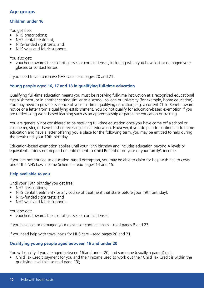## **Age groups**

#### **Children under 16**

You get free:

- NHS prescriptions;
- NHS dental treatment:
- NHS-funded sight tests; and
- NHS wigs and fabric supports.

You also get:

• vouchers towards the cost of glasses or contact lenses, including when you have lost or damaged your glasses or contact lenses.

If you need travel to receive NHS care – see pages 20 and 21.

#### **Young people aged 16, 17 and 18 in qualifying full-time education**

Qualifying full-time education means you must be receiving full-time instruction at a recognised educational establishment, or in another setting similar to a school, college or university (for example, home education). You may need to provide evidence of your full-time qualifying education, e.g. a current Child Benefit award notice or a letter from a qualifying establishment. You do not qualify for education-based exemption if you are undertaking work-based learning such as an apprenticeship or part-time education or training.

You are generally not considered to be receiving full-time education once you have come off a school or college register, or have finished receiving similar education. However, if you do plan to continue in full-time education and have a letter offering you a place for the following term, you may be entitled to help during the break until your 19th birthday.

Education-based exemption applies until your 19th birthday and includes education beyond A levels or equivalent. It does not depend on entitlement to Child Benefit or on your or your family's income.

If you are not entitled to education-based exemption, you may be able to claim for help with health costs under the NHS Low Income Scheme – read pages 14 and 15.

#### **Help available to you**

Until your 19th birthday you get free:

- NHS prescriptions;
- NHS dental treatment (for any course of treatment that starts before your 19th birthday);
- NHS-funded sight tests; and
- NHS wigs and fabric supports.

You also get:

• vouchers towards the cost of glasses or contact lenses.

If you have lost or damaged your glasses or contact lenses – read pages 8 and 23.

If you need help with travel costs for NHS care – read pages 20 and 21.

#### **Qualifying young people aged between 16 and under 20**

You will qualify if you are aged between 16 and under 20, and someone (usually a parent) gets:

• Child Tax Credit payment for you and their income used to work out their Child Tax Credit is within the qualifying level (please read page 13);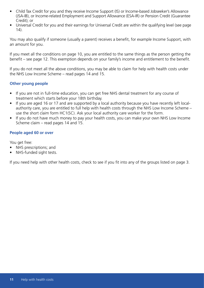- Child Tax Credit for you and they receive Income Support (IS) or Income-based Jobseeker's Allowance (JSA-IB), or Income-related Employment and Support Allowance (ESA-IR) or Pension Credit (Guarantee Credit); or
- Universal Credit for you and their earnings for Universal Credit are within the qualifying level (see page 14).

You may also qualify if someone (usually a parent) receives a benefit, for example Income Support, with an amount for you.

If you meet all the conditions on page 10, you are entitled to the same things as the person getting the benefit – see page 12. This exemption depends on your family's income and entitlement to the benefit.

If you do not meet all the above conditions, you may be able to claim for help with health costs under the NHS Low Income Scheme – read pages 14 and 15.

#### **Other young people**

- If you are not in full-time education, you can get free NHS dental treatment for any course of treatment which starts before your 18th birthday.
- If you are aged 16 or 17 and are supported by a local authority because you have recently left localauthority care, you are entitled to full help with health costs through the NHS Low Income Scheme – use the short claim form HC1(SC). Ask your local authority care worker for the form.
- If you do not have much money to pay your health costs, you can make your own NHS Low Income Scheme claim – read pages 14 and 15.

#### **People aged 60 or over**

You get free:

- NHS prescriptions; and
- NHS-funded sight tests.

If you need help with other health costs, check to see if you fit into any of the groups listed on page 3.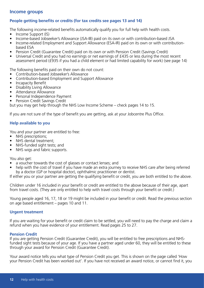## **Income groups**

#### **People getting benefits or credits (for tax credits see pages 13 and 14)**

The following income-related benefits automatically qualify you for full help with health costs.

- Income Support (IS)
- Income-based Jobseeker's Allowance (JSA-IB) paid on its own or with contribution-based JSA
- Income-related Employment and Support Allowance (ESA-IR) paid on its own or with contributionbased ESA
- Pension Credit (Guarantee Credit) paid on its own or with Pension Credit (Savings Credit)
- Universal Credit and you had no earnings or net earnings of £435 or less during the most recent assessment period (£935 if you had a child element or had limited capability for work) (see page 14)

The following benefits paid on their own do not count:

- Contribution-based Jobseeker's Allowance
- Contribution-based Employment and Support Allowance
- Incapacity Benefit
- Disability Living Allowance
- Attendance Allowance
- Personal Independence Payment
- Pension Credit Savings Credit

but you may get help through the NHS Low Income Scheme – check pages 14 to 15.

If you are not sure of the type of benefit you are getting, ask at your Jobcentre Plus Office.

#### **Help available to you**

You and your partner are entitled to free:

- NHS prescriptions:
- NHS dental treatment;
- NHS-funded sight tests; and
- NHS wigs and fabric supports.

You also get:

- a voucher towards the cost of glasses or contact lenses; and
- help with the cost of travel if you have made an extra journey to receive NHS care after being referred by a doctor (GP or hospital doctor), ophthalmic practitioner or dentist.

If either you or your partner are getting the qualifying benefit or credit, you are both entitled to the above.

Children under 16 included in your benefit or credit are entitled to the above because of their age, apart from travel costs. (They are only entitled to help with travel costs through your benefit or credit.)

Young people aged 16, 17, 18 or 19 might be included in your benefit or credit. Read the previous section on age based entitlement – pages 10 and 11.

#### **Urgent treatment**

If you are waiting for your benefit or credit claim to be settled, you will need to pay the charge and claim a refund when you have evidence of your entitlement. Read pages 25 to 27.

#### **Pension Credit**

If you are getting Pension Credit (Guarantee Credit), you will be entitled to free prescriptions and NHSfunded sight tests because of your age. If you have a partner aged under 60, they will be entitled to these through your award for Pension Credit (Guarantee Credit).

Your award notice tells you what type of Pension Credit you get. This is shown on the page called 'How your Pension Credit has been worked out'. If you have not received an award notice, or cannot find it, you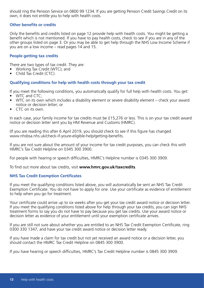should ring the Pension Service on 0800 99 1234. If you are getting Pension Credit Savings Credit on its own, it does not entitle you to help with health costs.

#### **Other benefits or credits**

Only the benefits and credits listed on page 12 provide help with health costs. You might be getting a benefit which is not mentioned. If you have to pay health costs, check to see if you are in any of the other groups listed on page 3. Or you may be able to get help through the NHS Low Income Scheme if you are on a low income – read pages 14 and 15.

#### **People getting tax credits**

There are two types of tax credit. They are:

- Working Tax Credit (WTC); and
- Child Tax Credit (CTC).

#### **Qualifying conditions for help with health costs through your tax credit**

If you meet the following conditions, you automatically qualify for full help with health costs. You get:

- WTC and CTC:
- WTC on its own which includes a disability element or severe disability element check your award notice or decision letter; or
- CTC on its own.

In each case, your family income for tax credits must be £15,276 or less. This is on your tax credit award notice or decision letter sent you by HM Revenue and Customs (HMRC).

(If you are reading this after 6 April 2019, you should check to see if this figure has changed www.nhsbsa.nhs.uk/check-if-youre-eligible-help/getting-benefits.

If you are not sure about the amount of your income for tax credit purposes, you can check this with HMRC's Tax Credit Helpline on 0345 300 3900.

For people with hearing or speech difficulties, HMRC's Helpline number is 0345 300 3909.

To find out more about tax credits, visit **www.hmrc.gov.uk/taxcredits**.

#### **NHS Tax Credit Exemption Certificates**

If you meet the qualifying conditions listed above, you will automatically be sent an NHS Tax Credit Exemption Certificate. You do not have to apply for one. Use your certificate as evidence of entitlement to help when you go for treatment.

Your certificate could arrive up to six weeks after you get your tax credit award notice or decision letter. If you meet the qualifying conditions listed above for help through your tax credits, you can sign NHS treatment forms to say you do not have to pay because you get tax credits. Use your award notice or decision letter as evidence of your entitlement until your exemption certificate arrives.

If you are still not sure about whether you are entitled to an NHS Tax Credit Exemption Certificate, ring 0300 330 1347, and have your tax credit award notice or decision letter ready.

If you have made a claim for tax credit but not yet received an award notice or a decision letter, you should contact the HMRC Tax Credit Helpline on 0845 300 3900.

If you have hearing or speech difficulties, HMRC's Tax Credit Helpline number is 0845 300 3909.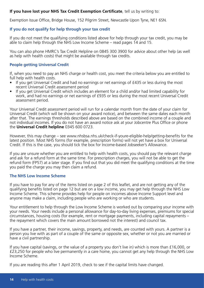#### **If you have lost your NHS Tax Credit Exemption Certificate**, tell us by writing to:

Exemption Issue Office, Bridge House, 152 Pilgrim Street, Newcastle Upon Tyne, NE1 6SN.

#### **If you do not qualify for help through your tax credit**

If you do not meet the qualifying conditions listed above for help through your tax credit, you may be able to claim help through the NHS Low Income Scheme – read pages 14 and 15.

You can also phone HMRC's Tax Credit Helpline on 0845 300 3900 for advice about other help (as well as help with health costs) that might be available through tax credits.

#### **People getting Universal Credit**

If, when you need to pay an NHS charge or health cost, you meet the criteria below you are entitled to full help with health costs.

- If you get Universal Credit and had no earnings or net earnings of £435 or less during the most recent Universal Credit assessment period
- If you get Universal Credit which includes an element for a child and/or had limited capability for work, and had no earnings or net earnings of £935 or less during the most recent Universal Credit assessment period.

Your Universal Credit assessment period will run for a calendar month from the date of your claim for Universal Credit (which will be shown on your award notice), and between the same dates each month after that. The earnings thresholds described above are based on the combined income of a couple and not individual incomes. If you do not have an award notice ask at your Jobcentre Plus Office or phone the **Universal Credit helpline** 0345 600 0723.

However, this may change – see www.nhsbsa.nhs.uk/check-if-youre-eligible-help/getting-benefits for the latest position. Most NHS forms (for example, prescription forms) will not yet have a box for Universal Credit. If this is the case, you should tick the box for Income-based Jobseeker's Allowance.

If you are unsure whether you are entitled to help with health costs, you should pay the relevant charge and ask for a refund form at the same time. For prescription charges, you will not be able to get the refund form (FP57) at a later stage. If you find out that you did meet the qualifying conditions at the time you paid the charge you may then claim a refund.

#### **The NHS Low Income Scheme**

If you have to pay for any of the items listed on page 2 of this leaflet, and are not getting any of the qualifying benefits listed on page 12 but are on a low income, you may get help through the NHS Low Income Scheme. This scheme provides help for people on incomes above Income Support level and anyone may make a claim, including people who are working or who are students.

Your entitlement to help through the Low Income Scheme is worked out by comparing your income with your needs. Your needs include a personal allowance for day-to-day living expenses, premiums for special circumstances, housing costs (for example, rent or mortgage payments, including capital repayments – the repayment which covers the main amount borrowed not the interest) and council tax.

If you have a partner, their income, savings, property, and needs, are counted with yours. A partner is a person you live with as part of a couple of the same or opposite sex, whether or not you are married or have a civil partnership.

If you have capital (savings, or the value of a property you don't live in) which is more than £16,000, or £23,250 for people who live permanently in a care home, you cannot get any help through the NHS Low Income Scheme.

If you are reading this after 1 April 2019, check to see if the capital limits have changed.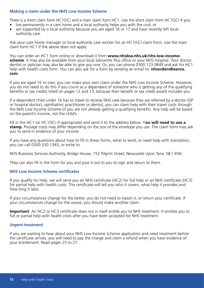#### **Making a claim under the NHS Low Income Scheme**

There is a short claim form HC1(SC) and a main claim form HC1. Use the short claim form HC1(SC) if you:

- live permanently in a care home and a local authority helps you with the cost; or
- are supported by a local authority because you are aged 16 or 17 and have recently left localauthority care.

Ask your care home manager or local-authority care worker for an HC1(SC) claim form. Use the main claim form HC1 if the above does not apply.

You can order an HC1 form online or download it from **www.nhsbsa.nhs.uk/nhs-low-incomescheme**. It may also be available from your local Jobcentre Plus office or your NHS hospital. Your doctor, dentist or optician may also be able to give you one. Or, you can phone 0300 123 0849 and ask for HC1 help with health costs form. You can also ask for a form by sending an email to: **nhsorders@xerox. com**.

If you are aged 16 or over, you can make your own claim under the NHS Low Income Scheme. However, you do not need to do this if you count as a dependant of someone who is getting any of the qualifying benefits or tax credits listed on pages 12 and 13, because their benefit or tax credit award includes you.

If a dependent child under 16 has to travel to receive NHS care because they are referred by a doctor (GP or hospital doctor), ophthalmic practitioner or dentist, you can claim help with their travel costs through the NHS Low Income Scheme (if you are not already getting a qualifying benefit). Any help will be based on the parent's income, not the child's.

Fill in the HC1 (or HC1(SC) if appropriate) and send it to the address below. Y**ou will need to use a stamp.** Postage costs may differ depending on the size of the envelope you use. The claim form may ask you to send in evidence of your income.

If you have any questions about how to fill in these forms, what to send, or need help with translation, you can call 0300 330 1343, or write to:

NHS Business Services Authority, Bridge House, 152 Pilgrim Street, Newcastle Upon Tyne, NE1 6SN.

They can also fill in the form for you and post it out to you to sign and return to them.

#### **NHS Low Income Scheme certificates**

If you qualify for help, we will send you an NHS certificate (HC2) for full help or an NHS certificate (HC3) for partial help with health costs. The certificate will tell you who it covers, what help it provides and how long it lasts.

If your circumstances change for the better, you do not need to report it, or return your certificate. If your circumstances change for the worse, you should make another claim.

**Important**: An HC2 or HC3 certificate does not in itself entitle you to NHS treatment. It entitles you to full or partial help with health costs after you have been accepted for NHS treatment.

#### **Urgent treatment**

If you are waiting to hear about your NHS Low Income Scheme application and need treatment before the certificate arrives, you will need to pay the charge and claim a refund when you have evidence of your entitlement. Read pages 25 to 27.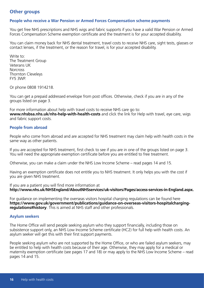#### **Other groups**

#### **People who receive a War Pension or Armed Forces Compensation scheme payments**

You get free NHS prescriptions and NHS wigs and fabric supports if you have a valid War Pension or Armed Forces Compensation Scheme exemption certificate and the treatment is for your accepted disability.

You can claim money back for NHS dental treatment, travel costs to receive NHS care, sight tests, glasses or contact lenses, if the treatment, or the reason for travel, is for your accepted disability.

Write to: The Treatment Group Veterans UK **Norcross** Thornton Cleveleys FY5 3WP.

Or phone 0808 1914218.

You can get a prepaid addressed envelope from post offices. Otherwise, check if you are in any of the groups listed on page 3.

For more information about help with travel costs to receive NHS care go to: **www.nhsbsa.nhs.uk/nhs-help-with-health-costs** and click the link for Help with travel, eye care, wigs and fabric support costs.

#### **People from abroad**

People who come from abroad and are accepted for NHS treatment may claim help with health costs in the same way as other patients.

If you are accepted for NHS treatment, first check to see if you are in one of the groups listed on page 3. You will need the appropriate exemption certificate before you are entitled to free treatment.

Otherwise, you can make a claim under the NHS Low Income Scheme – read pages 14 and 15.

Having an exemption certificate does not entitle you to NHS treatment. It only helps you with the cost if you are given NHS treatment.

If you are a patient you will find more information at **http://www.nhs.uk/NHSEngland/AboutNHSservices/uk-visitors/Pages/access-services-in-England.aspx.**

For guidance on implementing the overseas visitors hospital charging regulations can be found here **https://www.gov.uk/government/publications/guidance-on-overseas-visitors-hospitalchargingregulations#history**. This is aimed at NHS staff and other professionals.

#### **Asylum seekers**

The Home Office will send people seeking asylum who they support financially, including those on subsistence support only, an NHS Low Income Scheme certificate (HC2) for full help with health costs. An asylum seeker will get this with their first support payments.

People seeking asylum who are not supported by the Home Office, or who are failed asylum seekers, may be entitled to help with health costs because of their age. Otherwise, they may apply for a medical or maternity exemption certificate (see pages 17 and 18) or may apply to the NHS Low Income Scheme – read pages 14 and 15.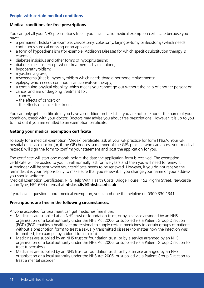#### **People with certain medical conditions**

#### **Medical conditions for free prescriptions**

You can get all your NHS prescriptions free if you have a valid medical exemption certificate because you have:

- a permanent fistula (for example, caecostomy, colostomy, laryngos-tomy or ileostomy) which needs continuous surgical dressing or an appliance;
- a form of hypoadrenalism (for example, Addison's Disease) for which specific substitution therapy is essential;
- diabetes insipidus and other forms of hypopituitarism;
- diabetes mellitus, except where treatment is by diet alone;
- hypoparathyroidism;
- myasthenia gravis:
- myxoedema (that is, hypothyroidism which needs thyroid hormone replacement);
- epilepsy which needs continuous anticonvulsive therapy;
- a continuing physical disability which means you cannot go out without the help of another person; or
- cancer and are undergoing treatment for:
	- cancer;
	- the effects of cancer; or,
	- the effects of cancer treatment.

You can only get a certificate if you have a condition on the list. If you are not sure about the name of your condition, check with your doctor. Doctors may advise you about free prescriptions. However, it is up to you to find out if you are entitled to an exemption certificate.

#### **Getting your medical exemption certificate**

To apply for a medical exemption (Medex) certificate, ask at your GP practice for form FP92A. Your GP, hospital or service doctor (or, if the GP chooses, a member of the GP's practice who can access your medical records) will sign the form to confirm your statement and post the application for you.

The certificate will start one month before the date the application form is received. The exemption certificate will be posted to you, it will normally last for five years and then you will need to renew it. A reminder will be sent when your certificate needs to be renewed. However, if you do not receive the reminder, it is your responsibility to make sure that you renew it. If you change your name or your address you should write to:

Medical Exemption Certificates, NHS Help With Health Costs, Bridge House, 152 Pilgrim Street, Newcastle Upon Tyne, NE1 6SN or email at **nhsbsa.lis1@nhsbsa.nhs.uk**

If you have a question about medical exemption, you can phone the helpline on 0300 330 1341.

#### **Prescriptions are free in the following circumstances.**

Anyone accepted for treatment can get medicines free if the:

- Medicines are supplied at an NHS trust or foundation trust, or by a service arranged by an NHS organisation or a local authority under the NHS Act 2006, or supplied via a Patient Group Direction (PGD) (PGD enables a healthcare professional to supply certain medicines to certain groups of patients without a prescription form) to treat a sexually transmitted disease (no matter how the infection was tranmitted, for example by a blood transfusion).
- Medicines are supplied by an NHS trust or foundation trust, or by a service arranged by an NHS organisation or a local authority under the NHS Act 2006, or supplied via a Patient Group Direction to treat tuberculosis.
- Medicines are supplied by an NHS trust or foundation trust, or by a service arranged by an NHS organisation or a local authority under the NHS Act 2006, or supplied via a Patient Group Direction to treat a mental disorder.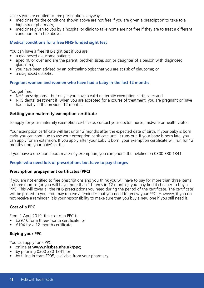Unless you are entitled to free prescriptions anyway:

- medicines for the conditions shown above are not free if you are given a prescription to take to a high-street pharmacy;
- medicines given to you by a hospital or clinic to take home are not free if they are to treat a different condition from the above.

#### **Medical conditions for a free NHS-funded sight test**

You can have a free NHS sight test if you are:

- a diagnosed glaucoma patient;
- aged 40 or over and are the parent, brother, sister, son or daughter of a person with diagnosed glaucoma;
- you have been advised by an ophthalmologist that you are at risk of glaucoma; or
- a diagnosed diabetic.

#### **Pregnant women and women who have had a baby in the last 12 months**

You get free:

- NHS prescriptions but only if you have a valid maternity exemption certificate; and
- NHS dental treatment if, when you are accepted for a course of treatment, you are pregnant or have had a baby in the previous 12 months.

#### **Getting your maternity exemption certificate**

To apply for your maternity exemption certificate, contact your doctor, nurse, midwife or health visitor.

Your exemption certificate will last until 12 months after the expected date of birth. If your baby is born early, you can continue to use your exemption certificate until it runs out. If your baby is born late, you can apply for an extension. If you apply after your baby is born, your exemption certificate will run for 12 months from your baby's birth.

If you have a question about maternity exemption, you can phone the helpline on 0300 330 1341.

#### **People who need lots of prescriptions but have to pay charges**

#### **Prescription prepayment certificates (PPC)**

If you are not entitled to free prescriptions and you think you will have to pay for more than three items in three months (or you will have more than 11 items in 12 months), you may find it cheaper to buy a PPC. This will cover all the NHS prescriptions you need during the period of the certificate. The certificate will be posted to you. You may receive a reminder that you need to renew your PPC. However, if you do not receive a reminder, it is your responsibility to make sure that you buy a new one if you still need it.

#### **Cost of a PPC**

From 1 April 2019, the cost of a PPC is:

- £29.10 for a three-month certificate; or
- £104 for a 12-month certificate.

#### **Buying your PPC**

You can apply for a PPC:

- online at **www.nhsbsa.nhs.uk/ppc**;
- by phoning 0300 330 1341; or
- by filling in form FP95, available from your pharmacy.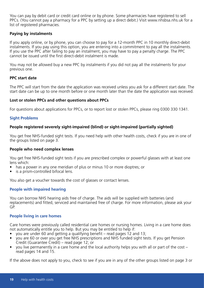You can pay by debit card or credit card online or by phone. Some pharmacies have registered to sell PPCs. (You cannot pay a pharmacy for a PPC by setting up a direct debit.) Visit www.nhsbsa.nhs.uk for a list of registered pharmacies.

#### **Paying by instalments**

If you apply online, or by phone, you can choose to pay for a 12-month PPC in 10 monthly direct-debit instalments. If you pay using this option, you are entering into a commitment to pay all the instalments. If you use the PPC after failing to pay an instalment, you may have to pay a penalty charge. The PPC cannot be issued until the first direct-debit instalment is made.

You may not be allowed buy a new PPC by instalments if you did not pay all the instalments for your previous one.

#### **PPC start date**

The PPC will start from the date the application was received unless you ask for a different start date. The start date can be up to one month before or one month later than the date the application was received.

#### **Lost or stolen PPCs and other questions about PPCs**

For questions about applications for PPCs, or to report lost or stolen PPCs, please ring 0300 330 1341.

#### **Sight Problems**

#### **People registered severely sight-impaired (blind) or sight-impaired (partially sighted)**

You get free NHS-funded sight tests. If you need help with other health costs, check if you are in one of the groups listed on page 3.

#### **People who need complex lenses**

You get free NHS-funded sight tests if you are prescribed complex or powerful glasses with at least one lens which:

- has a power in any one meridian of plus or minus 10 or more dioptres; or
- is a prism-controlled bifocal lens.

You also get a voucher towards the cost of glasses or contact lenses.

#### **People with impaired hearing**

You can borrow NHS hearing aids free of charge. The aids will be supplied with batteries (and replacements) and fitted, serviced and maintained free of charge. For more information, please ask your GP.

#### **People living in care homes**

Care homes were previously called residential care homes or nursing homes. Living in a care home does not automatically entitle you to help. But you may be entitled to help if:

- you are under 60 and getting a qualifying benefit read pages 12 and 13;
- you are 60 or over you get free NHS prescriptions and NHS funded sight tests. If you get Pension Credit (Guarantee Credit) – read page 12; or
- you live permanently in a care home and the local authority helps you with all or part of the cost read pages 14 and 15.

If the above does not apply to you, check to see if you are in any of the other groups listed on page 3 or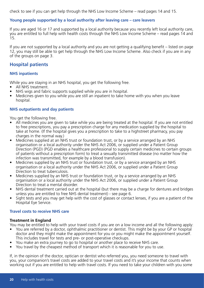check to see if you can get help through the NHS Low Income Scheme – read pages 14 and 15.

#### **Young people supported by a local authority after leaving care – care leavers**

If you are aged 16 or 17 and supported by a local authority because you recently left local authority care, you are entitled to full help with health costs through the NHS Low Income Scheme – read pages 14 and 15.

If you are not supported by a local authority and you are not getting a qualifying benefit – listed on page 12, you may still be able to get help through the NHS Low Income Scheme. Also check if you are in any of the groups on page 3.

## **Hospital patients**

#### **NHS inpatients**

While you are staying in an NHS hospital, you get the following free.

- All NHS treatment.
- NHS wigs and fabric supports supplied while you are in hospital.
- Medicines given to you while you are still an inpatient to take home with you when you leave hospital.

#### **NHS outpatients and day patients**

You get the following free.

- All medicines you are given to take while you are being treated at the hospital. If you are not entitled to free prescriptions, you pay a prescription charge for any medication supplied by the hospital to take at home. (If the hospital gives you a prescription to take to a highstreet pharmacy, you pay charges in the normal way.)
- Medicines supplied at an NHS trust or foundation trust, or by a service arranged by an NHS organisation or a local authority under the NHS Act 2006, or supplied under a Patient Group Direction (PGD) (PGD enables a healthcare professional to supply certain medicines to certain groups of patients without a prescription form) to treat a sexually transmitted disease (no matter how the infection was transmitted, for example by a blood transfusion).
- Medicines supplied by an NHS trust or foundation trust, or by a service arranged by an NHS organisation or a local authority under the NHS Act 2006, or supplied under a Patient Group Direction to treat tuberculosis.
- Medicines supplied by an NHS trust or foundation trust, or by a service arranged by an NHS organisation or a local authority under the NHS Act 2006, or supplied under a Patient Group Direction to treat a mental disorder.
- NHS dental treatment carried out at the hospital (but there may be a charge for dentures and bridges unless you are entitled to free NHS dental treatment) - see page 6.
- Sight tests and you may get help with the cost of glasses or contact lenses, if you are a patient of the Hospital Eye Service.

#### **Travel costs to receive NHS care**

#### **Treatment in England**

You may be entitled to help with your travel costs if you are on a low income and all the following apply:

- You are referred by a doctor, ophthalmic practitioner or dentist. This might be by your GP or hospital doctor and they might make the appointment for you or you might make the appointment yourself. This includes travel for tests and pre- or post-operative checkups.
- You make an extra journey to go to hospital or another place to receive NHS care.
- You travel by the cheapest method of transport which it is reasonable for you to use.

If, in the opinion of the doctor, optician or dentist who referred you, you need someone to travel with you, your companion's travel costs are added to your travel costs and it's your income that counts when working out if you are entitled to help with travel costs. If you need to take your children with you some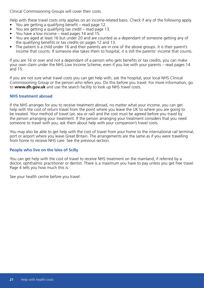Clinical Commissioning Groups will cover their costs.

Help with these travel costs only applies on an income-related basis. Check if any of the following apply.

- You are getting a qualifying benefit read page 12.
- You are getting a qualifying tax credit read page 13.
- You have a low income read pages 14 and 15.
- You are aged at least 16 but under 20 and are counted as a dependant of someone getting any of the qualifying benefits or tax credits on pages 12 and 13.
- The patient is a child under 16 and their parents are in one of the above groups. It is their parent's income that counts. If someone else takes them to hospital, it is still the parents' income that counts.

If you are 16 or over and not a dependant of a person who gets benefits or tax credits, you can make your own claim under the NHS Low Income Scheme, even if you live with your parents – read pages 14 and 15.

If you are not sure what travel costs you can get help with, ask the hospital, your local NHS Clinical Commissioning Group or the person who refers you. Do this before you travel. For more information, go to **www.dh.gov.uk** and use the search facility to look up NHS travel costs.

#### **NHS treatment abroad**

If the NHS arranges for you to receive treatment abroad, no matter what your income, you can get help with the cost of return travel from the point where you leave the UK to where you are going to be treated. Your method of travel (air, sea or rail) and the cost must be agreed before you travel by the person arranging your treatment. If the person arranging your treatment considers that you need someone to travel with you, ask them about help with your companion's travel costs.

You may also be able to get help with the cost of travel from your home to the international rail terminal, port or airport where you leave Great Britain. The arrangements are the same as if you were travelling from home to receive NHS care. See the previous section.

#### **People who live on the Isles of Scilly**

You can get help with the cost of travel to receive NHS treatment on the mainland, if referred by a doctor, ophthalmic practitioner or dentist. There is a maximum you have to pay unless you get free travel. Page 4 tells you how much this is.

See your health centre before you travel.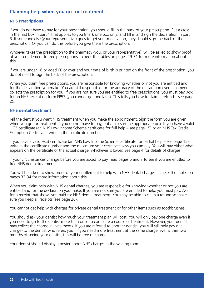## **Claiming help when you go for treatment**

#### **NHS Prescriptions**

If you do not have to pay for your prescription, you should fill in the back of your prescription. Put a cross in the first box in part 1 that applies to you (mark one box only) and fill in and sign the declaration in part 3. If someone else (your representative) goes to get your medication, they should sign the back of the prescription. Or you can do this before you give them the prescription.

Whoever takes the prescription to the pharmacy (you, or your representative), will be asked to show proof of your entitlement to free prescriptions – check the tables on pages 29-31 for more information about this.

If you are under 16 or aged 60 or over and your date of birth is printed on the front of the prescription, you do not need to sign the back of the prescription.

When you claim free prescriptions, you are responsible for knowing whether or not you are entitled and for the declaration you make. You are still responsible for the accuracy of the declaration even if someone collects the prescription for you. If you are not sure you are entitled to free prescriptions, you must pay. Ask for an NHS receipt on form FP57 (you cannot get one later). This tells you how to claim a refund – see page 25.

#### **NHS dental treatment**

Tell the dentist you want NHS treatment when you make the appointment. Sign the form you are given when you go for treatment. If you do not have to pay, put a cross in the appropriate box. If you have a valid HC2 certificate (an NHS Low Income Scheme certificate for full help – see page 15) or an NHS Tax Credit Exemption Certificate, write in the certificate number.

If you have a valid HC3 certificate (an NHS Low Income Scheme certificate for partial help – see page 15), write in the certificate number and the maximum your certificate says you can pay. You will pay either what appears on the certificate or the actual charge, whichever is lower. See page 4 for details of charges.

If your circumstances change before you are asked to pay, read pages 6 and 7 to see if you are entitled to free NHS dental treatment.

You will be asked to show proof of your entitlement to help with NHS dental charges – check the tables on pages 32-34 for more information about this.

When you claim help with NHS dental charges, you are responsible for knowing whether or not you are entitled and for the declaration you make. If you are not sure you are entitled to help, you must pay. Ask for a receipt that shows you paid for NHS dental treatment. You may be able to claim a refund so make sure you keep all receipts (see page 26).

You cannot get help with charges for private dental treatment or for other items such as toothbrushes.

You should ask your dentist how much your treatment plan will cost. You will only pay one charge even if you need to go to the dentist more than once to complete a course of treatment. However, your dentist may collect the charge in instalments. If you are referred to another dentist, you will still only pay one charge (to the dentist who refers you). If you need more treatment at the same charge level within two months of seeing your dentist, this will be free of charge.

Your dentist should display a poster about NHS charges in the waiting room.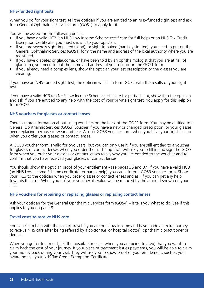#### **NHS-funded sight tests**

When you go for your sight test, tell the optician if you are entitled to an NHS-funded sight test and ask for a General Ophthalmic Services form (GOS1) to apply for it.

You will be asked for the following details.

- If you have a valid HC2 (an NHS Low Income Scheme certificate for full help) or an NHS Tax Credit Exemption Certificate, you must show it to your optician.
- If you are severely sight-impaired (blind), or sight-impaired (partially sighted), you need to put on the General Ophthalmic Services (GOS1) form the name and address of the local authority where you are registered.
- If you have diabetes or glaucoma, or have been told by an ophthalmologist that you are at risk of glaucoma, you need to put the name and address of your doctor on the GOS1 form.
- If you already need a complex lens, show the optician your last prescription or the glasses you are wearing.

If you have an NHS-funded sight test, the optician will fill in form GOS2 with the results of your sight test.

If you have a valid HC3 (an NHS Low Income Scheme certificate for partial help), show it to the optician and ask if you are entitled to any help with the cost of your private sight test. You apply for this help on form GOS5.

#### **NHS vouchers for glasses or contact lenses**

There is more information about using vouchers on the back of the GOS2 form. You may be entitled to a General Ophthalmic Services (GOS3) voucher if you have a new or changed prescription, or your glasses need replacing because of wear and tear. Ask for GOS3 voucher form when you have your sight test, or when you order your glasses or contact lenses.

A GOS3 voucher form is valid for two years, but you can only use it if you are still entitled to a voucher for glasses or contact lenses when you order them. The optician will ask you to fill in and sign the GOS3 form when you order your glasses or contact lenses to say why you are entitled to the voucher and to confirm that you have received your glasses or contact lenses.

You should show the optician proof of your entitlement - see pages 36 and 37. If you have a valid HC3 (an NHS Low Income Scheme certificate for partial help), you can ask for a GOS3 voucher form. Show your HC3 to the optician when you order glasses or contact lenses and ask if you can get any help towards the cost. When you use your voucher, its value will be reduced by the amount shown on your  $HC3.$ 

#### **NHS vouchers for repairing or replacing glasses or replacing contact lenses**

Ask your optician for the General Ophthalmic Services form (GOS4) – it tells you what to do. See if this applies to you on page 8.

#### **Travel costs to receive NHS care**

You can claim help with the cost of travel if you are on a low income and have made an extra journey to receive NHS care after being referred by a doctor (GP or hospital doctor), ophthalmic practitioner or dentist.

When you go for treatment, tell the hospital (or place where you are being treated) that you want to claim back the cost of your journey. If your place of treatment issues payments, you will be able to claim your money back during your visit. They will ask you to show proof of your entitlement, such as your award notice, your NHS Tax Credit Exemption Certificate.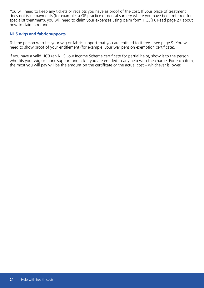You will need to keep any tickets or receipts you have as proof of the cost. If your place of treatment does not issue payments (for example, a GP practice or dental surgery where you have been referred for specialist treatment), you will need to claim your expenses using claim form HC5(T). Read page 27 about how to claim a refund.

#### **NHS wigs and fabric supports**

Tell the person who fits your wig or fabric support that you are entitled to it free – see page 9. You will need to show proof of your entitlement (for example, your war pension exemption certificate).

If you have a valid HC3 (an NHS Low Income Scheme certificate for partial help), show it to the person who fits your wig or fabric support and ask if you are entitled to any help with the charge. For each item, the most you will pay will be the amount on the certificate or the actual cost – whichever is lower.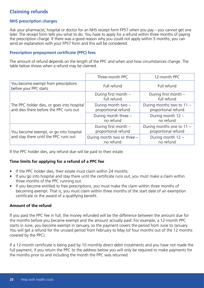## **Claiming refunds**

#### **NHS prescription charges**

Ask your pharmacist, hospital or doctor for an NHS receipt form FP57 when you pay – you cannot get one later. The receipt form tells you what to do. You have to apply for a refund within three months of paying the prescription charge. If there was a good reason why you could not apply within 3 months, you can send an explanation with your FP57 form and this will be considered.

#### **Prescription prepayment certificate (PPC) fees**

The amount of refund depends on the length of the PPC and when and how circumstances change. The table below shows when a refund may be claimed.

|                                                                                      | Three-month PPC                             | 12-month PPC                                     |
|--------------------------------------------------------------------------------------|---------------------------------------------|--------------------------------------------------|
| You become exempt from prescriptions<br>before your PPC starts                       | Full refund                                 | Full refund                                      |
|                                                                                      | During first month -<br>full refund         | During first month -<br>full refund              |
| The PPC holder dies, or goes into hospital<br>and dies there before the PPC runs out | During month two -<br>proportional refund   | During months two to 11 -<br>proportional refund |
|                                                                                      | During month three -<br>no refund           | During month 12 -<br>no refund                   |
| You become exempt, or go into hospital                                               | During first month -<br>proportional refund | During months one to 11 -<br>proportional refund |
| and stay there until the PPC runs out                                                | During month two or three -<br>no refund    | During month 12 -<br>no refund                   |

If the PPC holder dies, any refund due will be paid to their estate.

#### **Time limits for applying for a refund of a PPC fee**

- If the PPC holder dies, their estate must claim within 24 months.
- If you go into hospital and stay there until the certificate runs out, you must make a claim within three months of the PPC running out.
- If you become entitled to free prescriptions, you must make the claim within three months of becoming exempt. That is, you must claim within three months of the start date of an exemption certificate or the award of a qualifying benefit.

#### **Amount of the refund**

If you paid the PPC fee in full, the money refunded will be the difference between the amount due for the months before you became exempt and the amount actually paid. For example, a 12-month PPC starts in June, you become exempt in January, so the payment covers the period from June to January. You will get a refund for the unused period from February to May (of four months out of the 12 months covered by the PPC).

If a 12-month certificate is being paid by 10 monthly direct debit instalments and you have not made the full payment, if you return the PPC to the address below you will only be required to make payments for the months prior to and including the month the PPC was returned.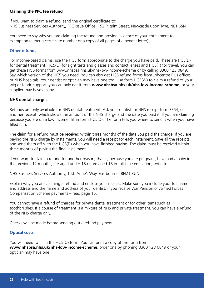#### **Claiming the PPC fee refund**

If you want to claim a refund, send the original certificate to: NHS Business Services Authority, PPC Issue Office, 152 Pilgrim Street, Newcastle upon Tyne, NE1 6SN

You need to say why you are claiming the refund and provide evidence of your entitlement to exemption (either a certificate number or a copy of all pages of a benefit letter).

#### **Other refunds**

For income-based claims, use the HC5 form appropriate to the charge you have paid. These are HC5(D) for dental treatment, HC5(O) for sight tests and glasses and contact lenses and HC5(T) for travel. You can get these HC5 forms from www.nhsbsa.nhs.uk/nhs-low-income-scheme or by calling 0300 123 0849. Say which version of the HC5 you need. You can also get HC5 refund forms from Jobcentre Plus offices or NHS hospitals. Your dentist or optician may have one too. Use form HC5(W) to claim a refund of your wig or fabric support; you can only get it from **www.nhsbsa.nhs.uk/nhs-low-income-scheme**, or your supplier may have a copy.

#### **NHS dental charges**

Refunds are only available for NHS dental treatment. Ask your dentist for NHS receipt form FP64, or another receipt, which shows the amount of the NHS charge and the date you paid it. If you are claiming because you are on a low income, fill in form HC5(D). The form tells you where to send it when you have filled it in.

The claim for a refund must be received within three months of the date you paid the charge. If you are paying the NHS charge by instalments, you will need a receipt for each instalment. Save all the receipts and send them off with the HC5(D) when you have finished paying. The claim must be received within three months of paying the final instalment.

If you want to claim a refund for another reason, that is, because you are pregnant, have had a baby in the previous 12 months, are aged under 18 or are aged 18 in full-time education, write to:

NHS Business Services Authority, 1 St. Anne's Way, Eastbourne, BN21 3UN.

Explain why you are claiming a refund and enclose your receipt. Make sure you include your full name and address and the name and address of your dentist. If you receive War Pension or Armed Forces Compensation Scheme payments – read page 16.

You cannot have a refund of charges for private dental treatment or for other items such as toothbrushes. If a course of treatment is a mixture of NHS and private treatment, you can have a refund of the NHS charge only.

Checks will be made before sending out a refund payment.

#### **Optical costs**

You will need to fill in the HC5(O) form. You can print a copy of the form from **www.nhsbsa.nhs.uk/nhs-low-income-scheme**, order one by phoning 0300 123 0849 or your optician may have one.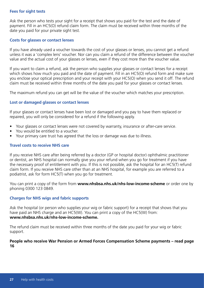#### **Fees for sight tests**

Ask the person who tests your sight for a receipt that shows you paid for the test and the date of payment. Fill in an HC5(O) refund claim form. The claim must be received within three months of the date you paid for your private sight test.

#### **Costs for glasses or contact lenses**

If you have already used a voucher towards the cost of your glasses or lenses, you cannot get a refund unless it was a 'complex lens' voucher. Nor can you claim a refund of the difference between the voucher value and the actual cost of your glasses or lenses, even if they cost more than the voucher value.

If you want to claim a refund, ask the person who supplies your glasses or contact lenses for a receipt which shows how much you paid and the date of payment. Fill in an HC5(O) refund form and make sure you enclose your optical prescription and your receipt with your HC5(O) when you send it off. The refund claim must be received within three months of the date you paid for your glasses or contact lenses.

The maximum refund you can get will be the value of the voucher which matches your prescription.

#### **Lost or damaged glasses or contact lenses**

If your glasses or contact lenses have been lost or damaged and you pay to have them replaced or repaired, you will only be considered for a refund if the following apply.

- Your glasses or contact lenses were not covered by warranty, insurance or after-care service.
- You would be entitled to a voucher.
- Your primary care trust has agreed that the loss or damage was due to illness.

#### **Travel costs to receive NHS care**

If you receive NHS care after being referred by a doctor (GP or hospital doctor) ophthalmic practitioner or dentist, an NHS hospital can normally give you your refund when you go for treatment if you have the necessary proof of entitlement with you. If this is not possible, ask the hospital for an HC5(T) refund claim form. If you receive NHS care other than at an NHS hospital, for example you are referred to a podiatrist, ask for form HC5(T) when you go for treatment.

You can print a copy of the form from **www.nhsbsa.nhs.uk/nhs-low-income-scheme** or order one by phoning 0300 123 0849.

#### **Charges for NHS wigs and fabric supports**

Ask the hospital (or person who supplies your wig or fabric support) for a receipt that shows that you have paid an NHS charge and an HC5(W). You can print a copy of the HC5(W) from: **www.nhsbsa.nhs.uk/nhs-low-income-scheme.**

The refund claim must be received within three months of the date you paid for your wig or fabric support.

#### **People who receive War Pension or Armed Forces Compensation Scheme payments – read page 16**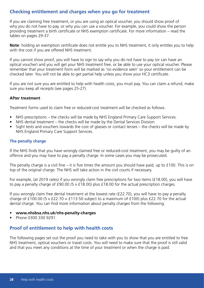## **Checking entitlement and charges when you go for treatment**

If you are claiming free treatment, or you are using an optical voucher, you should show proof of why you do not have to pay, or why you can use a voucher. For example, you could show the person providing treatment a birth certificate or NHS exemption certificate. For more information – read the tables on pages 29-37.

**Note**: holding an exemption certificate does not entitle you to NHS treatment, it only entitles you to help with the cost if you are offered NHS treatment.

If you cannot show proof, you will have to sign to say why you do not have to pay (or can have an optical voucher) and you will get your NHS treatment free, or be able to use your optical voucher. Please remember that your treatment form will be marked as 'no evidence seen' so your entitlement can be checked later. You will not be able to get partial help unless you show your HC3 certificate.

If you are not sure you are entitled to help with health costs, you must pay. You can claim a refund, make sure you keep all receipts (see pages 25-27).

#### **After treatment**

Treatment forms used to claim free or reduced-cost treatment will be checked as follows.

- NHS prescriptions the checks will be made by NHS England Primary Care Support Services.
- NHS dental treatment the checks will be made by the Dental Services Division.
- Sight tests and vouchers towards the cost of glasses or contact lenses the checks will be made by NHS England Primary Care Support Services.

#### **The penalty charge**

If the NHS finds that you have wrongly claimed free or reduced-cost treatment, you may be guilty of an offence and you may have to pay a penalty charge. In some cases you may be prosecuted.

The penalty charge is a civil fine – it is five times the amount you should have paid, up to £100. This is on top of the original charge. The NHS will take action in the civil courts if necessary.

For example, (at 2019 rates) if you wrongly claim free prescriptions for two items (£18.00), you will have to pay a penalty charge of £90.00 (5 x £18.00) plus £18.00 for the actual prescription charges.

If you wrongly claim free dental treatment at the lowest rate (£22.70), you will have to pay a penalty charge of £100.00 (5 x £22.70 = £113.50 subject to a maximum of £100) plus £22.70 for the actual dental charge. You can find more information about penalty charges from the following.

- **www.nhsbsa.nhs.uk/nhs-penalty-charges**
- Phone 0300 330 9291.

## **Proof of entitlement to help with health costs**

The following pages set out the proof you need to take with you to show that you are entitled to free NHS treatment, optical vouchers or travel costs. You will need to make sure that the proof is still valid and that you meet any conditions at the time of your treatment or when the charge is paid.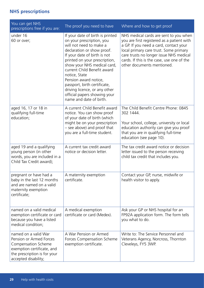## **NHS prescriptions**

| You can get NHS<br>prescriptions free if you are:                                                                                                            | The proof you need to have                                                                                                                                                                                                                                                                                                                                                                                                  | Where and how to get proof                                                                                                                                                                                                                                                                      |
|--------------------------------------------------------------------------------------------------------------------------------------------------------------|-----------------------------------------------------------------------------------------------------------------------------------------------------------------------------------------------------------------------------------------------------------------------------------------------------------------------------------------------------------------------------------------------------------------------------|-------------------------------------------------------------------------------------------------------------------------------------------------------------------------------------------------------------------------------------------------------------------------------------------------|
| under 16<br>60 or over;                                                                                                                                      | If your date of birth is printed<br>on your prescription, you<br>will not need to make a<br>declaration or show proof.<br>If your date of birth is not<br>printed on your prescription,<br>show your NHS medical card,<br>current Child Benefit award<br>notice, State<br>Pension award notice,<br>passport, birth certificate,<br>driving licence, or any other<br>official papers showing your<br>name and date of birth. | NHS medical cards are sent to you when<br>you are first registered as a patient with<br>a GP. If you need a card, contact your<br>local primary care trust. Some primary<br>care trusts no longer issue NHS medical<br>cards. If this is the case, use one of the<br>other documents mentioned. |
| aged 16, 17 or 18 in<br>qualifying full-time<br>education;                                                                                                   | A current Child Benefit award<br>notice. You can show proof<br>of your date of birth (which<br>might be on your prescription<br>- see above) and proof that<br>you are a full-time student.                                                                                                                                                                                                                                 | The Child Benefit Centre Phone: 0845<br>302 1444.<br>Your school, college, university or local<br>education authority can give you proof<br>that you are in qualifying full-time<br>education (see page 10).                                                                                    |
| aged 19 and a qualifying<br>young person (in other<br>words, you are included in a<br>Child Tax Credit award);                                               | A current tax credit award<br>notice or decision letter.                                                                                                                                                                                                                                                                                                                                                                    | The tax credit award notice or decision<br>letter issued to the person receiving<br>child tax credit that includes you.                                                                                                                                                                         |
| pregnant or have had a<br>baby in the last 12 months<br>and are named on a valid<br>maternity exemption<br>certificate;                                      | A maternity exemption<br>certificate.                                                                                                                                                                                                                                                                                                                                                                                       | Contact your GP, nurse, midwife or<br>health visitor to apply.                                                                                                                                                                                                                                  |
| named on a valid medical<br>exemption certificate or card<br>because you have a listed<br>medical condition;                                                 | A medical exemption<br>certificate or card (Medex).                                                                                                                                                                                                                                                                                                                                                                         | Ask your GP or NHS hospital for an<br>FP92A application form. The form tells<br>you what to do.                                                                                                                                                                                                 |
| named on a valid War<br>Pension or Armed Forces<br>Compensation Scheme<br>exemption certificate, and<br>the prescription is for your<br>accepted disability; | A War Pension or Armed<br>Forces Compensation Scheme<br>exemption certificate.                                                                                                                                                                                                                                                                                                                                              | Write to: The Service Personnel and<br>Veterans Agency, Norcross, Thornton<br>Cleveleys, FY5 3WP.                                                                                                                                                                                               |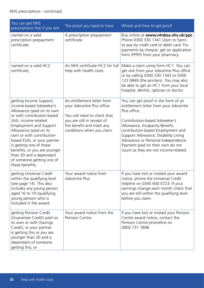| You can get NHS<br>prescriptions free if you are:                                                                                                                                                                                                                                                                                                                                                    | The proof you need to have                                                                                                                                                        | Where and how to get proof                                                                                                                                                                                                                                                                                                                                        |
|------------------------------------------------------------------------------------------------------------------------------------------------------------------------------------------------------------------------------------------------------------------------------------------------------------------------------------------------------------------------------------------------------|-----------------------------------------------------------------------------------------------------------------------------------------------------------------------------------|-------------------------------------------------------------------------------------------------------------------------------------------------------------------------------------------------------------------------------------------------------------------------------------------------------------------------------------------------------------------|
| named on a valid<br>prescription prepayment<br>certificate;                                                                                                                                                                                                                                                                                                                                          | A prescription prepayment<br>certificate.                                                                                                                                         | Buy online at www.nhsbsa.nhs.uk/ppc<br>Phone 0300 330 1341 (2pm to 5pm)<br>to pay by credit card or debit card. For<br>payments by cheque, get an application<br>form (FP95) from your pharmacy.                                                                                                                                                                  |
| named on a valid HC2<br>certificate;                                                                                                                                                                                                                                                                                                                                                                 | An NHS certificate HC2 for full<br>help with health costs.                                                                                                                        | Make a claim using form HC1. You can<br>get one from your Jobcentre Plus office<br>or by calling 0300 330 1343 or 0300<br>123 0849 (the printers). You may also<br>be able to get an HC1 from your local<br>hospital, dentist, optician or doctor.                                                                                                                |
| getting Income Support,<br>income-based Jobseeker's<br>Allowance (paid on its own<br>or with contribution-based<br>JSA), income-related<br><b>Employment and Support</b><br>Allowance (paid on its<br>own or with contribution-<br>based ESA), or your partner<br>is getting one of these<br>benefits, or you are younger<br>than 20 and a dependant<br>of someone getting one of<br>these benefits; | An entitlement letter from<br>your Jobcentre Plus office.<br>You will need to check that<br>you are still in receipt of<br>the benefit and meet any<br>conditions when you claim. | You can get proof in the form of an<br>entitlement letter from your Jobcentre<br>Plus office.<br>Contribution-based Jobseeker's<br>Allowance, Incapacity Benefit,<br>contribution-based Employment and<br>Support Allowance, Disability Living<br>Allowance or Personal Independence<br>Payment paid on their own do not<br>count as they are not income-related. |
| getting Universal Credit<br>within the qualifying level<br>(see page 14). This also<br>includes any young person<br>aged 16 to 19 (qualifying<br>young person) who is<br>included in the award.                                                                                                                                                                                                      | Your award notice from<br>Jobcentre Plus                                                                                                                                          | If you have lost or mislaid your award<br>notice, phone the Universal Credit<br>helpline on 0345 600 0723. If your<br>earnings change each month check that<br>you are still within the qualifying level<br>before you claim.                                                                                                                                     |
| getting Pension Credit<br>(Guarantee Credit) paid on<br>its own or with (Savings<br>Credit), or your partner<br>is getting this or you are<br>younger than 20 and a<br>dependant of someone<br>getting this; or                                                                                                                                                                                      | Your award notice from the<br>Pension Centre.                                                                                                                                     | If you have lost or mislaid your Pension<br>Centre award notice, contact the<br>Pension Centre phoneline on<br>0800 731 7898.                                                                                                                                                                                                                                     |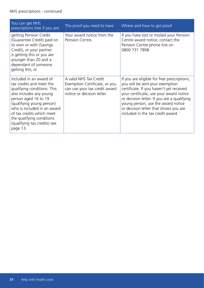| You can get NHS<br>prescriptions free if you are:                                                                                                                                                                                                                                                       | The proof you need to have                                                                                             | Where and how to get proof                                                                                                                                                                                                                                                                                                               |
|---------------------------------------------------------------------------------------------------------------------------------------------------------------------------------------------------------------------------------------------------------------------------------------------------------|------------------------------------------------------------------------------------------------------------------------|------------------------------------------------------------------------------------------------------------------------------------------------------------------------------------------------------------------------------------------------------------------------------------------------------------------------------------------|
| getting Pension Credit<br>(Guarantee Credit) paid on<br>its own or with (Savings)<br>Credit), or your partner<br>is getting this or you are<br>younger than 20 and a<br>dependant of someone<br>getting this; or                                                                                        | Your award notice from the<br>Pension Centre.                                                                          | If you have lost or mislaid your Pension<br>Centre award notice, contact the<br>Pension Centre phone line on<br>0800 731 7898.                                                                                                                                                                                                           |
| included in an award of<br>tax credits and meet the<br>qualifying conditions. This<br>also includes any young<br>person aged 16 to 19<br>(qualifying young person)<br>who is included in an award<br>of tax credits which meet<br>the qualifying conditions<br>(qualifying tax credits) see<br>page 13. | A valid NHS Tax Credit<br>Exemption Certificate, or you<br>can use your tax credit award<br>notice or decision letter. | If you are eligible for free prescriptions,<br>you will be sent your exemption<br>certificate. If you haven't yet received<br>your certificate, use your award notice<br>or decision letter. If you are a qualifying<br>young person, use the award notice<br>or decision letter that shows you are<br>included in the tax credit award. |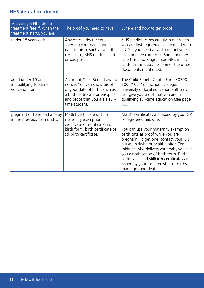## **NHS dental treatment**

| You can get NHS dental<br>treatment free if, when the<br>treatment starts, you are: | The proof you need to have                                                                                                                                                          | Where and how to get proof                                                                                                                                                                                                                                                                                                                                                                                                                       |
|-------------------------------------------------------------------------------------|-------------------------------------------------------------------------------------------------------------------------------------------------------------------------------------|--------------------------------------------------------------------------------------------------------------------------------------------------------------------------------------------------------------------------------------------------------------------------------------------------------------------------------------------------------------------------------------------------------------------------------------------------|
| under 18 years old;                                                                 | Any official document<br>showing your name and<br>date of birth, such as a birth<br>certificate, NHS medical card<br>or passport.                                                   | NHS medical cards are given out when<br>you are first registered as a patient with<br>a GP. If you need a card, contact your<br>local primary care trust. Some primary<br>care trusts no longer issue NHS medical<br>cards. In this case, use one of the other<br>documents mentioned.                                                                                                                                                           |
| aged under 19 and<br>in qualifying full-time<br>education; or                       | A current Child Benefit award<br>notice. You can show proof<br>of your date of birth, such as<br>a birth certificate or passport<br>and proof that you are a full-<br>time student. | The Child Benefit Centre Phone 0300<br>200 3100. Your school, college,<br>university or local education authority<br>can give you proof that you are in<br>qualifying full-time education (see page<br>$10$ ).                                                                                                                                                                                                                                   |
| pregnant or have had a baby<br>in the previous 12 months.                           | MatB1 certificate or NHS<br>maternity exemption<br>certificate or notification of<br>birth form, birth certificate or<br>stillbirth certificate.                                    | MatB1 certificates are issued by your GP<br>or registered midwife.<br>You can use your maternity exemption<br>certificate as proof while you are<br>pregnant. To get one, contact your GP,<br>nurse, midwife or health visitor. The<br>midwife who delivers your baby will give<br>you a notification of birth form. Birth<br>certificates and stillbirth certificates are<br>issued by your local registrar of births,<br>marriages and deaths. |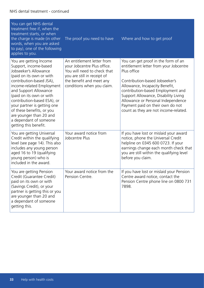#### NHS dental treatment - continued

| You can get NHS dental<br>treatment free if, when the<br>treatment starts, or when<br>the charge is made (in other<br>words, when you are asked<br>to pay), one of the following<br>applies to you.                                                                                                                                                                                         | The proof you need to have                                                                                                                                                        | Where and how to get proof                                                                                                                                                                                                                                                                                                                                       |
|---------------------------------------------------------------------------------------------------------------------------------------------------------------------------------------------------------------------------------------------------------------------------------------------------------------------------------------------------------------------------------------------|-----------------------------------------------------------------------------------------------------------------------------------------------------------------------------------|------------------------------------------------------------------------------------------------------------------------------------------------------------------------------------------------------------------------------------------------------------------------------------------------------------------------------------------------------------------|
| You are getting Income<br>Support, income-based<br>Jobseeker's Allowance<br>(paid on its own or with<br>contribution-based JSA),<br>income-related Employment<br>and Support Allowance<br>(paid on its own or with<br>contribution-based ESA), or<br>your partner is getting one<br>of these benefits, or you<br>are younger than 20 and<br>a dependant of someone<br>getting this benefit. | An entitlement letter from<br>your Jobcentre Plus office.<br>You will need to check that<br>you are still in receipt of<br>the benefit and meet any<br>conditions when you claim. | You can get proof in the form of an<br>entitlement letter from your Jobcentre<br>Plus office<br>Contribution-based Jobseeker's<br>Allowance, Incapacity Benefit,<br>contribution-based Employment and<br>Support Allowance, Disability Living<br>Allowance or Personal Independence<br>Payment paid on their own do not<br>count as they are not income-related. |
| You are getting Universal<br>Credit within the qualifying<br>level (see page 14). This also<br>includes any young person<br>aged 16 to 19 (qualifying<br>young person) who is<br>included in the award.                                                                                                                                                                                     | Your award notice from<br>Jobcentre Plus                                                                                                                                          | If you have lost or mislaid your award<br>notice, phone the Universal Credit<br>helpline on 0345 600 0723. If your<br>earnings change each month check that<br>you are still within the qualifying level<br>before you claim.                                                                                                                                    |
| You are getting Pension<br>Credit (Guarantee Credit)<br>paid on its own or with<br>(Savings Credit), or your<br>partner is getting this or you<br>are younger than 20 and<br>a dependant of someone<br>getting this.                                                                                                                                                                        | Your award notice from the<br>Pension Centre.                                                                                                                                     | If you have lost or mislaid your Pension<br>Centre award notice, contact the<br>Pension Centre phone line on 0800 731<br>7898.                                                                                                                                                                                                                                   |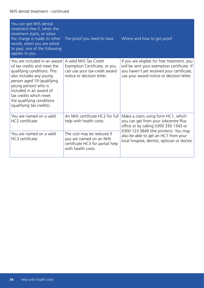#### NHS dental treatment - continued

| You can get NHS dental<br>treatment free if, when the<br>treatment starts, or when<br>the charge is made (in other<br>words, when you are asked<br>to pay), one of the following<br>applies to you.                                                                                        | The proof you need to have                                                                                             | Where and how to get proof                                                                                                                                                            |
|--------------------------------------------------------------------------------------------------------------------------------------------------------------------------------------------------------------------------------------------------------------------------------------------|------------------------------------------------------------------------------------------------------------------------|---------------------------------------------------------------------------------------------------------------------------------------------------------------------------------------|
| You are included in an award<br>of tax credits and meet the<br>qualifying conditions. This<br>also includes any young<br>person aged 19 (qualifying<br>young person) who is<br>included in an award of<br>tax credits which meet<br>the qualifying conditions<br>(qualifying tax credits). | A valid NHS Tax Credit<br>Exemption Certificate, or you<br>can use your tax-credit award<br>notice or decision letter. | If you are eligible for free treatment, you<br>will be sent your exemption certificate. If<br>you haven't yet received your certificate,<br>use your award notice or decision letter. |
| You are named on a valid<br>HC2 certificate.                                                                                                                                                                                                                                               | An NHS certificate HC2 for full<br>help with health costs.                                                             | Make a claim using form HC1, which<br>you can get from your Jobcentre Plus<br>office or by calling 0300 330 1343 or<br>0300 123 0849 (the printers). You may                          |
| You are named on a valid<br>HC3 certificate.                                                                                                                                                                                                                                               | The cost may be reduced if<br>you are named on an NHS<br>certificate HC3 for partial help<br>with health costs.        | also be able to get an HC1 from your<br>local hospital, dentist, optician or doctor.                                                                                                  |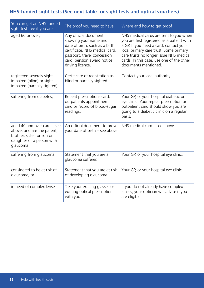## **NHS-funded sight tests (See next table for sight tests and optical vouchers)**

| You can get an NHS funded<br>sight test free if you are:                                                                          | The proof you need to have                                                                                                                                                                           | Where and how to get proof                                                                                                                                                                                                                                                               |
|-----------------------------------------------------------------------------------------------------------------------------------|------------------------------------------------------------------------------------------------------------------------------------------------------------------------------------------------------|------------------------------------------------------------------------------------------------------------------------------------------------------------------------------------------------------------------------------------------------------------------------------------------|
| aged 60 or over;                                                                                                                  | Any official document<br>showing your name and<br>date of birth, such as a birth<br>certificate, NHS medical card,<br>passport, travel concession<br>card, pension award notice,<br>driving licence. | NHS medical cards are sent to you when<br>you are first registered as a patient with<br>a GP. If you need a card, contact your<br>local primary care trust. Some primary<br>care trusts no longer issue NHS medical<br>cards. In this case, use one of the other<br>documents mentioned. |
| registered severely sight-<br>impaired (blind) or sight-<br>impaired (partially sighted);                                         | Certificate of registration as<br>blind or partially sighted.                                                                                                                                        | Contact your local authority.                                                                                                                                                                                                                                                            |
| suffering from diabetes;                                                                                                          | Repeat prescriptions card,<br>outpatients appointment<br>card or record of blood-sugar<br>readings.                                                                                                  | Your GP, or your hospital diabetic or<br>eye clinic. Your repeat prescription or<br>outpatient card should show you are<br>going to a diabetic clinic on a regular<br>basis.                                                                                                             |
| aged 40 and over card – see<br>above. and are the parent,<br>brother, sister, or son or<br>daughter of a person with<br>glaucoma; | An official document to prove<br>your date of birth - see above.                                                                                                                                     | NHS medical card – see above.                                                                                                                                                                                                                                                            |
| suffering from glaucoma;                                                                                                          | Statement that you are a<br>glaucoma sufferer.                                                                                                                                                       | Your GP, or your hospital eye clinic.                                                                                                                                                                                                                                                    |
| considered to be at risk of<br>glaucoma; or                                                                                       | Statement that you are at risk<br>of developing glaucoma.                                                                                                                                            | Your GP, or your hospital eye clinic.                                                                                                                                                                                                                                                    |
| in need of complex lenses.                                                                                                        | Take your existing glasses or<br>existing optical prescription<br>with you.                                                                                                                          | If you do not already have complex<br>lenses, your optician will advise if you<br>are eligible.                                                                                                                                                                                          |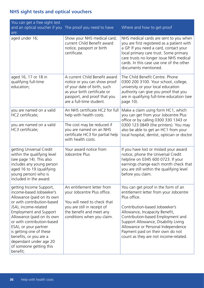## **NHS sight tests and optical vouchers**

| You can get a free sight test<br>and an optical voucher if you The proof you need to have<br>are:                                                                                                                                                                                                                                                                                   |                                                                                                                                                                                          | Where and how to get proof                                                                                                                                                                                                                                                                                                                                        |
|-------------------------------------------------------------------------------------------------------------------------------------------------------------------------------------------------------------------------------------------------------------------------------------------------------------------------------------------------------------------------------------|------------------------------------------------------------------------------------------------------------------------------------------------------------------------------------------|-------------------------------------------------------------------------------------------------------------------------------------------------------------------------------------------------------------------------------------------------------------------------------------------------------------------------------------------------------------------|
| aged under 16;                                                                                                                                                                                                                                                                                                                                                                      | Show your NHS medical card,<br>current Child Benefit award<br>notice, passport or birth<br>certificate.                                                                                  | NHS medical cards are sent to you when<br>you are first registered as a patient with<br>a GP. If you need a card, contact your<br>local primary care trust. Some primary<br>care trusts no longer issue NHS medical<br>cards. In this case use one of the other<br>documents mentioned.                                                                           |
| aged 16, 17 or 18 in<br>qualifying full-time<br>education;                                                                                                                                                                                                                                                                                                                          | A current Child Benefit award<br>notice or you can show proof<br>of your date of birth, such<br>as your birth certificate or<br>passport, and proof that you<br>are a full-time student. | The Child Benefit Centre. Phone<br>0300 200 3100. Your school, college,<br>university or your local education<br>authority can give you proof that you<br>are in qualifying full-time education (see<br>page 10).                                                                                                                                                 |
| you are named on a valid<br>HC2 certificate;                                                                                                                                                                                                                                                                                                                                        | An NHS certificate HC2 for full<br>help with health costs.                                                                                                                               | Make a claim using form HC1, which<br>you can get from your Jobcentre Plus<br>office or by calling 0300 330 1343 or                                                                                                                                                                                                                                               |
| you are named on a valid<br>HC3 certificate;                                                                                                                                                                                                                                                                                                                                        | The cost may be reduced if<br>you are named on an NHS<br>certificate HC3 for partial help<br>with health costs.                                                                          | 0300 123 0849 (the printers). You may<br>also be able to get an HC1 from your<br>local hospital, dentist, optician or doctor.                                                                                                                                                                                                                                     |
| getting Universal Credit<br>within the qualifying level<br>(see page 14). This also<br>includes any young person<br>aged 16 to 19 (qualifying<br>young person) who is<br>included in the award.                                                                                                                                                                                     | Your award notice from<br>Jobcentre Plus                                                                                                                                                 | If you have lost or mislaid your award<br>notice, phone the Universal Credit<br>helpline on 0345 600 0723. If your<br>earnings change each month check that<br>you are still within the qualifying level<br>before you claim.                                                                                                                                     |
| getting Income Support,<br>income-based Jobseeker's<br>Allowance (paid on its own<br>or with contribution-based<br>JSA), income-related<br><b>Employment and Support</b><br>Allowance (paid on its own<br>or with contribution-based<br>ESA), or your partner<br>is getting one of these<br>benefits, or you are a<br>dependant under age 20<br>of someone getting this<br>benefit; | An entitlement letter from<br>your Jobcentre Plus office.<br>You will need to check that<br>you are still in receipt of<br>the benefit and meet any<br>conditions when you claim.        | You can get proof in the form of an<br>entitlement letter from your Jobcentre<br>Plus office.<br>Contribution-based Jobseeker's<br>Allowance, Incapacity Benefit,<br>Contribution-based Employment and<br>Support Allowance, Disability Living<br>Allowance or Personal Independence<br>Payment paid on their own do not<br>count as they are not income-related. |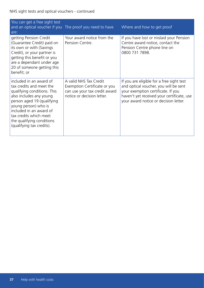| You can get a free sight test<br>and an optical voucher if you The proof you need to have<br>are:                                                                                                                                                                                  |                                                                                                                       | Where and how to get proof                                                                                                                                                                                      |
|------------------------------------------------------------------------------------------------------------------------------------------------------------------------------------------------------------------------------------------------------------------------------------|-----------------------------------------------------------------------------------------------------------------------|-----------------------------------------------------------------------------------------------------------------------------------------------------------------------------------------------------------------|
| getting Pension Credit<br>(Guarantee Credit) paid on<br>its own or with (Savings)<br>Credit), or your partner is<br>getting this benefit or you<br>are a dependant under age<br>20 of someone getting this<br>benefit; or                                                          | Your award notice from the<br>Pension Centre.                                                                         | If you have lost or mislaid your Pension<br>Centre award notice, contact the<br>Pension Centre phone line on<br>0800 731 7898.                                                                                  |
| included in an award of<br>tax credits and meet the<br>qualifying conditions. This<br>also includes any young<br>person aged 19 (qualifying<br>young person) who is<br>included in an award of<br>tax credits which meet<br>the qualifying conditions<br>(qualifying tax credits). | A valid NHS Tax Credit<br>Exemption Certificate or you<br>can use your tax credit award<br>notice or decision letter. | If you are eligible for a free sight test<br>and optical voucher, you will be sent<br>your exemption certificate. If you<br>haven't yet received your certificate, use<br>your award notice or decision letter. |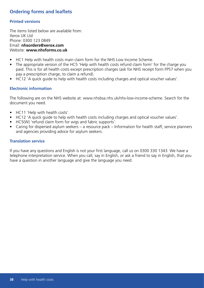## **Ordering forms and leaflets**

#### **Printed versions**

The items listed below are available from: Xerox UK Ltd Phone: 0300 123 0849 Email: **nhsorders@xerox.com** Website: **www.nhsforms.co.uk**

- HC1 Help with health costs main claim form for the NHS Low Income Scheme.
- The appropriate version of the HC5 'Help with health costs refund claim form' for the charge you paid. This is for all health costs except prescription charges (ask for NHS receipt form FP57 when you pay a prescription charge, to claim a refund).
- HC12 'A quick guide to help with health costs including charges and optical voucher values'.

#### **Electronic information**

The following are on the NHS website at: www.nhsbsa.nhs.uk/nhs-low-income-scheme. Search for the document you need.

- HC11 'Help with health costs'.
- HC12 'A quick guide to help with health costs including charges and optical voucher values'.
- HC5(W) 'refund claim form for wigs and fabric supports'.
- Caring for dispersed asylum seekers a resource pack Information for health staff, service planners and agencies providing advice for asylum seekers.

#### **Translation service**

If you have any questions and English is not your first language, call us on 0300 330 1343. We have a telephone interpretation service. When you call, say in English, or ask a friend to say in English, that you have a question in another language and give the language you need.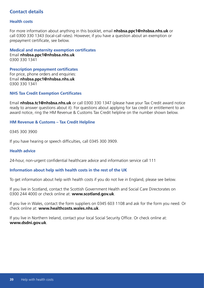## **Contact details**

#### **Health costs**

For more information about anything in this booklet, email **nhsbsa.ppc1@nhsbsa.nhs.uk** or call 0300 330 1343 (local-call rates). However, if you have a question about an exemption or prepayment certificate, see below.

**Medical and maternity exemption certificates** Email **nhsbsa.ppc1@nhsbsa.nhs.uk** 0300 330 1341

**Prescription prepayment certificates** For price, phone orders and enquiries: Email **nhsbsa.ppc1@nhsbsa.nhs.uk** 0300 330 1341

#### **NHS Tax Credit Exemption Certificates**

Email **nhsbsa.tc1@nhsbsa.nhs.uk** or call 0300 330 1347 (please have your Tax Credit award notice ready to answer questions about it). For questions about applying for tax credit or entitlement to an award notice, ring the HM Revenue & Customs Tax Credit helpline on the number shown below.

#### **HM Revenue & Customs – Tax Credit Helpline**

0345 300 3900

If you have hearing or speech difficulties, call 0345 300 3909.

#### **Health advice**

24-hour, non-urgent confidential healthcare advice and information service call 111

#### **Information about help with health costs in the rest of the UK**

To get information about help with health costs if you do not live in England, please see below.

If you live in Scotland, contact the Scottish Government Health and Social Care Directorates on 0300 244 4000 or check online at: **www.scotland.gov.uk**.

If you live in Wales, contact the form suppliers on 0345 603 1108 and ask for the form you need. Or check online at: **www.healthcosts.wales.nhs.uk**.

If you live in Northern Ireland, contact your local Social Security Office. Or check online at: **www.dsdni.gov.uk**.